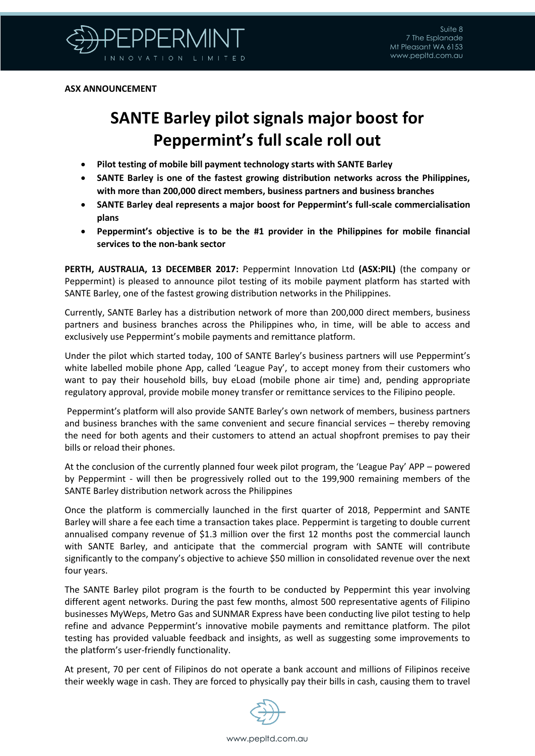

**ASX ANNOUNCEMENT**

## **SANTE Barley pilot signals major boost for Peppermint's full scale roll out**

- **Pilot testing of mobile bill payment technology starts with SANTE Barley**
- **SANTE Barley is one of the fastest growing distribution networks across the Philippines, with more than 200,000 direct members, business partners and business branches**
- **SANTE Barley deal represents a major boost for Peppermint's full-scale commercialisation plans**
- **Peppermint's objective is to be the #1 provider in the Philippines for mobile financial services to the non-bank sector**

**PERTH, AUSTRALIA, 13 DECEMBER 2017:** Peppermint Innovation Ltd **(ASX:PIL)** (the company or Peppermint) is pleased to announce pilot testing of its mobile payment platform has started with SANTE Barley, one of the fastest growing distribution networks in the Philippines.

Currently, SANTE Barley has a distribution network of more than 200,000 direct members, business partners and business branches across the Philippines who, in time, will be able to access and exclusively use Peppermint's mobile payments and remittance platform.

Under the pilot which started today, 100 of SANTE Barley's business partners will use Peppermint's white labelled mobile phone App, called 'League Pay', to accept money from their customers who want to pay their household bills, buy eLoad (mobile phone air time) and, pending appropriate regulatory approval, provide mobile money transfer or remittance services to the Filipino people.

Peppermint's platform will also provide SANTE Barley's own network of members, business partners and business branches with the same convenient and secure financial services – thereby removing the need for both agents and their customers to attend an actual shopfront premises to pay their bills or reload their phones.

At the conclusion of the currently planned four week pilot program, the 'League Pay' APP – powered by Peppermint - will then be progressively rolled out to the 199,900 remaining members of the SANTE Barley distribution network across the Philippines

Once the platform is commercially launched in the first quarter of 2018, Peppermint and SANTE Barley will share a fee each time a transaction takes place. Peppermint is targeting to double current annualised company revenue of \$1.3 million over the first 12 months post the commercial launch with SANTE Barley, and anticipate that the commercial program with SANTE will contribute significantly to the company's objective to achieve \$50 million in consolidated revenue over the next four years.

The SANTE Barley pilot program is the fourth to be conducted by Peppermint this year involving different agent networks. During the past few months, almost 500 representative agents of Filipino businesses MyWeps, Metro Gas and SUNMAR Express have been conducting live pilot testing to help refine and advance Peppermint's innovative mobile payments and remittance platform. The pilot testing has provided valuable feedback and insights, as well as suggesting some improvements to the platform's user-friendly functionality.

At present, 70 per cent of Filipinos do not operate a bank account and millions of Filipinos receive their weekly wage in cash. They are forced to physically pay their bills in cash, causing them to travel